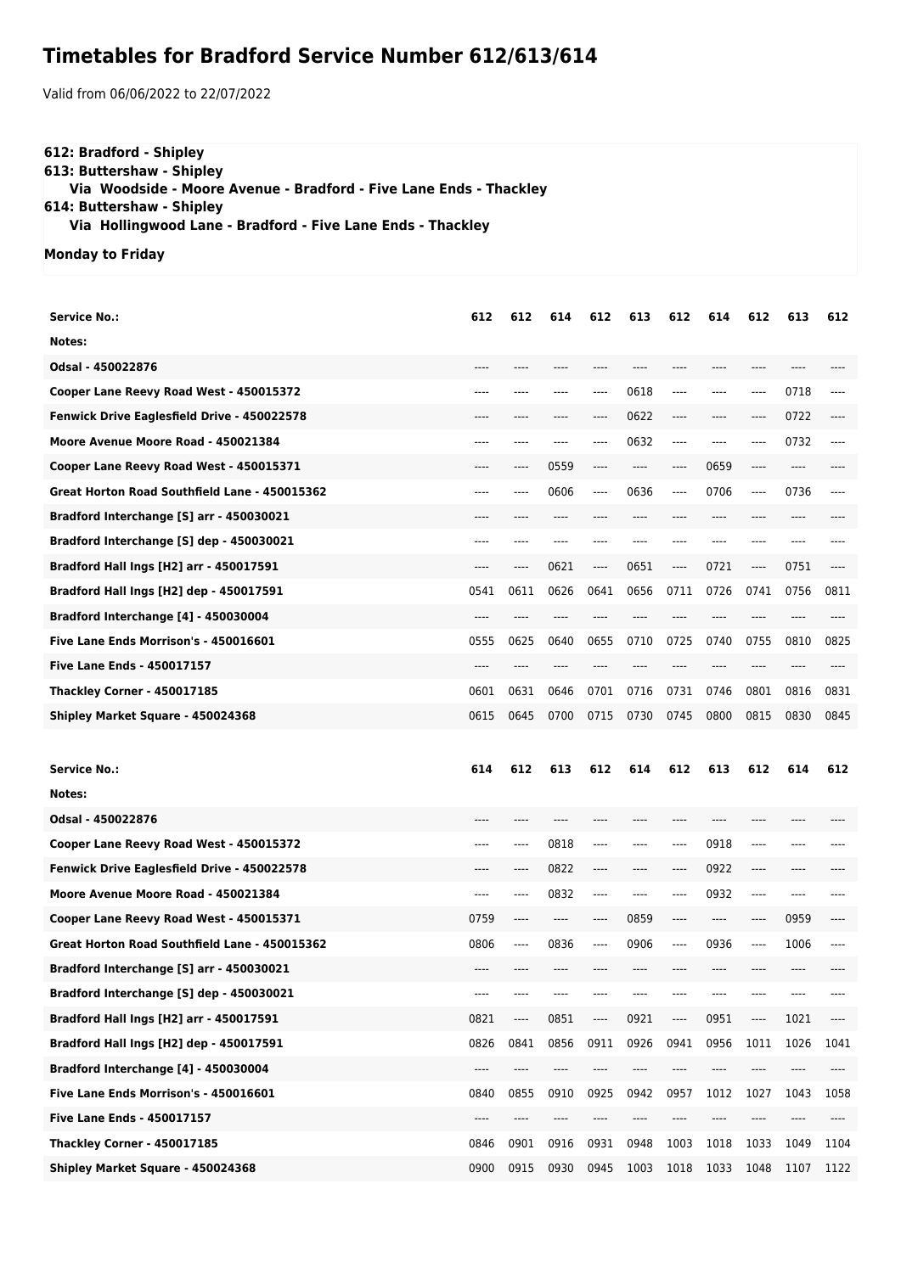## **Timetables for Bradford Service Number 612/613/614**

Valid from 06/06/2022 to 22/07/2022

## **612: Bradford - Shipley 613: Buttershaw - Shipley Via Woodside - Moore Avenue - Bradford - Five Lane Ends - Thackley 614: Buttershaw - Shipley Via Hollingwood Lane - Bradford - Five Lane Ends - Thackley**

**Monday to Friday**

| <b>Service No.:</b>                           | 612  | 612   | 614  | 612  | 613   | 612  | 614   | 612     | 613  | 612  |
|-----------------------------------------------|------|-------|------|------|-------|------|-------|---------|------|------|
| Notes:                                        |      |       |      |      |       |      |       |         |      |      |
| Odsal - 450022876                             | ---- |       |      |      |       |      | ----  | $-- -$  |      |      |
| Cooper Lane Reevy Road West - 450015372       | ---- | $---$ | ---- | ---- | 0618  | ---- | ----  | ----    | 0718 | ---- |
| Fenwick Drive Eaglesfield Drive - 450022578   | ---- | ----  | ---- | ---- | 0622  | ---- | ----  | $-----$ | 0722 | ---- |
| Moore Avenue Moore Road - 450021384           | ---- | $---$ | ---- | ---- | 0632  | ---- | ----  | ----    | 0732 | ---- |
| Cooper Lane Reevy Road West - 450015371       | ---- | ----  | 0559 | ---- | $---$ | ---- | 0659  | ----    | ---- |      |
| Great Horton Road Southfield Lane - 450015362 | ---- | ----  | 0606 | ---- | 0636  | ---- | 0706  | $---$   | 0736 | ---- |
| Bradford Interchange [S] arr - 450030021      | ---- | ----  | ---- | ---- | $---$ | ---- | $---$ | $---$   | ---- |      |
| Bradford Interchange [S] dep - 450030021      | ---- | ----  | ---- | ---- |       | ---- | ----  | ----    | ---- |      |
| Bradford Hall Ings [H2] arr - 450017591       | ---- | ----  | 0621 | ---- | 0651  | ---- | 0721  | ----    | 0751 |      |
| Bradford Hall Ings [H2] dep - 450017591       | 0541 | 0611  | 0626 | 0641 | 0656  | 0711 | 0726  | 0741    | 0756 | 0811 |
| Bradford Interchange [4] - 450030004          | ---- | $---$ | ---- | ---- |       |      | ----  | $---$   | ---- | ---- |
| Five Lane Ends Morrison's - 450016601         | 0555 | 0625  | 0640 | 0655 | 0710  | 0725 | 0740  | 0755    | 0810 | 0825 |
| <b>Five Lane Ends - 450017157</b>             | ---- | $---$ | ---- |      |       |      | ----  | $---$   | ---- |      |
| <b>Thackley Corner - 450017185</b>            | 0601 | 0631  | 0646 | 0701 | 0716  | 0731 | 0746  | 0801    | 0816 | 0831 |
| Shipley Market Square - 450024368             | 0615 | 0645  | 0700 | 0715 | 0730  | 0745 | 0800  | 0815    | 0830 | 0845 |
|                                               |      |       |      |      |       |      |       |         |      |      |
|                                               |      |       |      |      |       |      |       |         |      |      |
| <b>Service No.:</b>                           | 614  | 612   | 613  | 612  | 614   | 612  | 613   | 612     | 614  | 612  |
| Notes:                                        |      |       |      |      |       |      |       |         |      |      |
| Odsal - 450022876                             |      |       |      |      |       |      |       |         |      |      |
| Cooper Lane Reevy Road West - 450015372       | ---- | $---$ | 0818 | ---- | $---$ | ---- | 0918  | $-----$ | ---- |      |
| Fenwick Drive Eaglesfield Drive - 450022578   | ---- | ----  | 0822 | ---- | $---$ | ---- | 0922  | ----    | ---- |      |
| Moore Avenue Moore Road - 450021384           | ---- | ----  | 0832 | ---- |       |      | 0932  | $---$   | ---- |      |
| Cooper Lane Reevy Road West - 450015371       | 0759 | ----  | ---- | ---- | 0859  | ---- | ----  | ----    | 0959 |      |
| Great Horton Road Southfield Lane - 450015362 | 0806 | ----  | 0836 | ---- | 0906  | ---- | 0936  | $-----$ | 1006 |      |
| Bradford Interchange [S] arr - 450030021      | ---- | ----  | ---- | ---- | $---$ | ---- | ----  | ----    | ---- | ---- |
| Bradford Interchange [S] dep - 450030021      | ---- |       |      |      |       |      |       |         |      |      |
| Bradford Hall Ings [H2] arr - 450017591       | 0821 | ----  | 0851 | ---- | 0921  | ---- | 0951  | ----    | 1021 | ---- |
| Bradford Hall Ings [H2] dep - 450017591       | 0826 | 0841  | 0856 | 0911 | 0926  | 0941 | 0956  | 1011    | 1026 | 1041 |
| Bradford Interchange [4] - 450030004          | ---- | ----  | ---- |      |       | ---- | ----  | ----    | ---- |      |
| Five Lane Ends Morrison's - 450016601         | 0840 | 0855  | 0910 | 0925 | 0942  | 0957 | 1012  | 1027    | 1043 | 1058 |
| <b>Five Lane Ends - 450017157</b>             | ---- | ----  | ---- |      |       |      |       |         |      |      |
| <b>Thackley Corner - 450017185</b>            | 0846 | 0901  | 0916 | 0931 | 0948  | 1003 | 1018  | 1033    | 1049 | 1104 |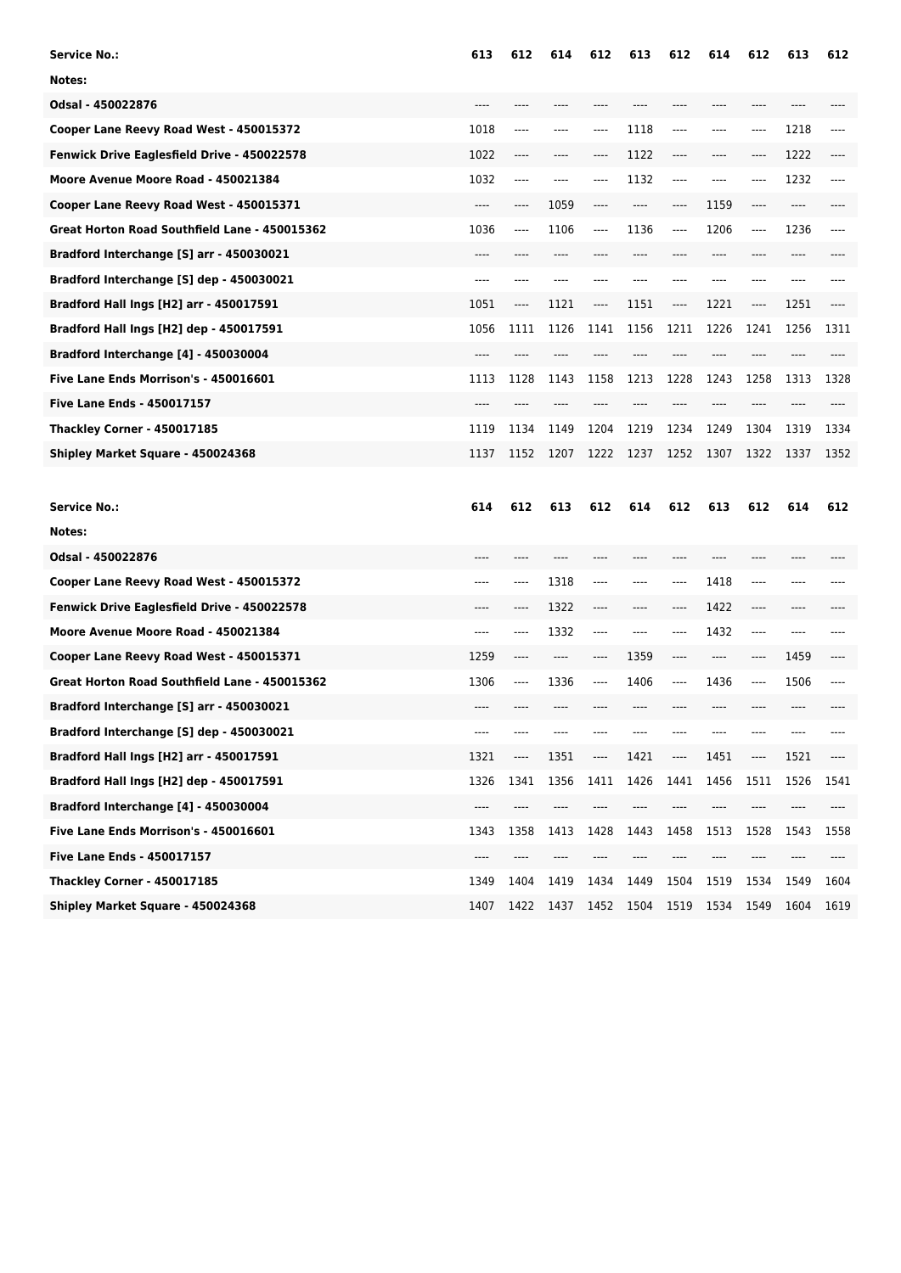| <b>Service No.:</b>                           | 613   | 612  | 614  | 612  | 613  | 612     | 614  | 612     | 613  | 612  |
|-----------------------------------------------|-------|------|------|------|------|---------|------|---------|------|------|
| Notes:                                        |       |      |      |      |      |         |      |         |      |      |
| Odsal - 450022876                             |       |      |      |      |      |         |      |         |      |      |
| Cooper Lane Reevy Road West - 450015372       | 1018  | ---- | ---- | ---- | 1118 | ----    | ---- | ----    | 1218 |      |
| Fenwick Drive Eaglesfield Drive - 450022578   | 1022  | ---- | ---- | ---- | 1122 | ----    | ---- | ----    | 1222 |      |
| Moore Avenue Moore Road - 450021384           | 1032  | ---- | ---- | ---- | 1132 | $-----$ | ---- | $-----$ | 1232 |      |
| Cooper Lane Reevy Road West - 450015371       | $---$ | ---- | 1059 | ---- |      | ----    | 1159 | $---$   | ---- |      |
| Great Horton Road Southfield Lane - 450015362 | 1036  | ---- | 1106 | ---- | 1136 | ----    | 1206 | ----    | 1236 | ---- |
| Bradford Interchange [S] arr - 450030021      | $---$ |      | ---- |      |      |         | ---- |         | ---- |      |
| Bradford Interchange [S] dep - 450030021      | $---$ | ---- |      |      |      |         | ---- | ----    | ---- |      |
| Bradford Hall Ings [H2] arr - 450017591       | 1051  | ---- | 1121 | ---- | 1151 | ----    | 1221 | ----    | 1251 |      |
| Bradford Hall Ings [H2] dep - 450017591       | 1056  | 1111 | 1126 | 1141 | 1156 | 1211    | 1226 | 1241    | 1256 | 1311 |
| Bradford Interchange [4] - 450030004          | ----  |      |      |      |      |         |      |         |      |      |
| Five Lane Ends Morrison's - 450016601         | 1113  | 1128 | 1143 | 1158 | 1213 | 1228    | 1243 | 1258    | 1313 | 1328 |
| <b>Five Lane Ends - 450017157</b>             |       |      |      |      |      |         |      |         |      |      |
| <b>Thackley Corner - 450017185</b>            | 1119  | 1134 | 1149 | 1204 | 1219 | 1234    | 1249 | 1304    | 1319 | 1334 |
| Shipley Market Square - 450024368             | 1137  | 1152 | 1207 | 1222 | 1237 | 1252    | 1307 | 1322    | 1337 | 1352 |
|                                               |       |      |      |      |      |         |      |         |      |      |
| <b>Service No.:</b>                           | 614   | 612  | 613  | 612  | 614  | 612     | 613  | 612     | 614  | 612  |
| Notes:                                        |       |      |      |      |      |         |      |         |      |      |
| Odsal - 450022876                             |       |      |      |      |      |         |      |         |      |      |
| Cooper Lane Reevy Road West - 450015372       | ----  | ---- | 1318 | ---- |      | ----    | 1418 | ----    | ---- |      |
| Fenwick Drive Eaglesfield Drive - 450022578   | ----  | ---- | 1322 | ---- | ---- | ----    | 1422 | ----    | ---- |      |
| Moore Avenue Moore Road - 450021384           | ----  | ---- | 1332 | ---- |      | ----    | 1432 | ----    | ---- |      |
| Cooper Lane Reevy Road West - 450015371       | 1259  | ---- | ---- | ---- | 1359 | ----    | ---- | ----    | 1459 |      |
| Great Horton Road Southfield Lane - 450015362 | 1306  | ---- | 1336 | ---- | 1406 | ----    | 1436 | ----    | 1506 |      |
| Bradford Interchange [S] arr - 450030021      | ----  |      |      |      |      |         |      |         |      |      |
| Bradford Interchange [S] dep - 450030021      |       |      |      |      |      |         |      |         |      |      |
| Bradford Hall Ings [H2] arr - 450017591       | 1321  | ---- | 1351 | ---- | 1421 | ----    | 1451 | ----    | 1521 | ---- |
| Bradford Hall Ings [H2] dep - 450017591       | 1326  | 1341 | 1356 | 1411 | 1426 | 1441    | 1456 | 1511    | 1526 | 1541 |
| Bradford Interchange [4] - 450030004          | ----  | ---- | ---- | ---- | ---- | ----    | ---- | ----    | ---- | ---- |
| Five Lane Ends Morrison's - 450016601         | 1343  | 1358 | 1413 | 1428 | 1443 | 1458    | 1513 | 1528    | 1543 | 1558 |
|                                               |       |      |      |      |      |         |      |         |      |      |
| Five Lane Ends - 450017157                    | ----  |      |      |      |      |         |      |         |      |      |
| <b>Thackley Corner - 450017185</b>            | 1349  | 1404 | 1419 | 1434 | 1449 | 1504    | 1519 | 1534    | 1549 | 1604 |
|                                               |       |      |      |      |      |         |      |         |      |      |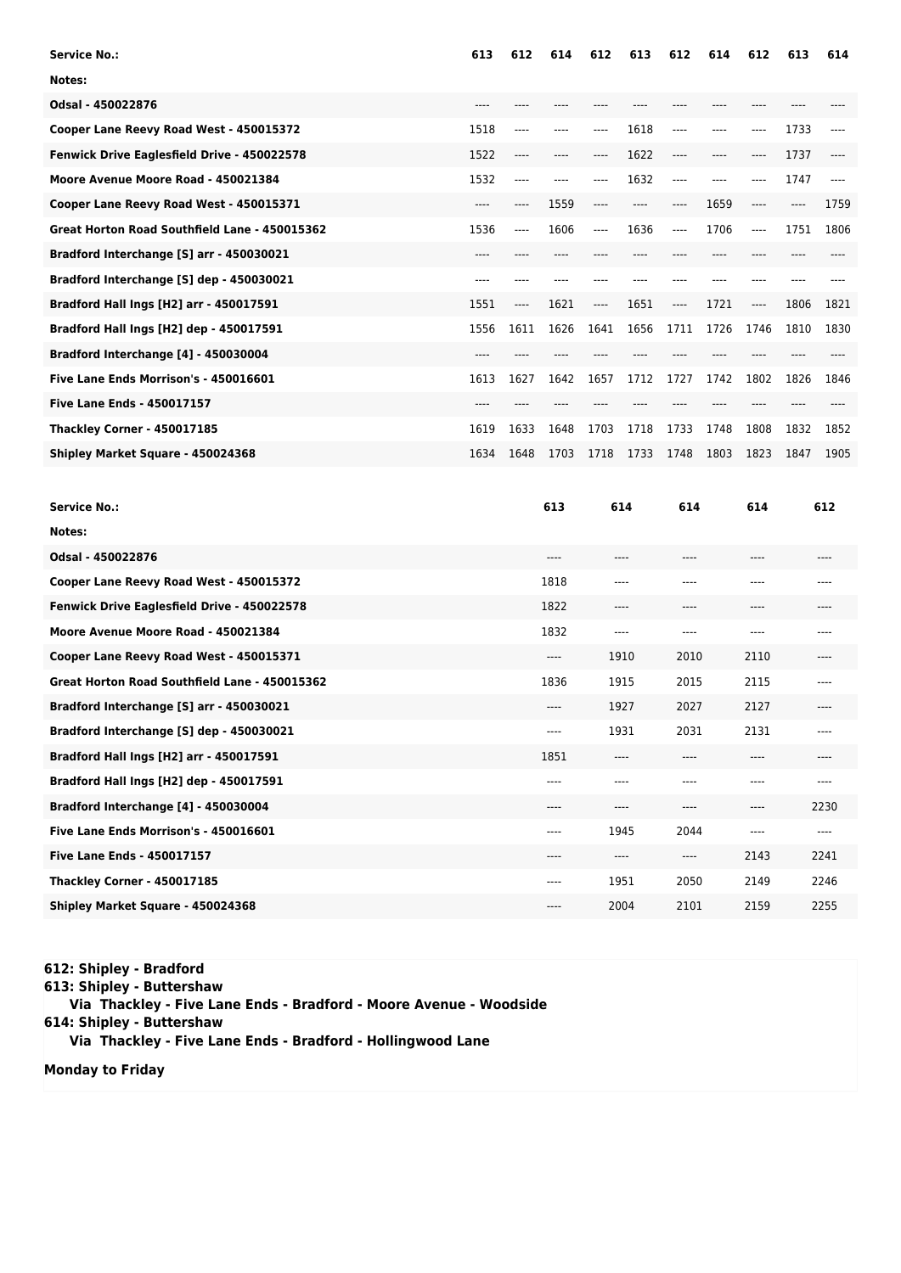| <b>Service No.:</b>                            | 613  | 612  | 614  | 612  | 613  | 612   | 614  | 612   | 613  | 614  |
|------------------------------------------------|------|------|------|------|------|-------|------|-------|------|------|
| Notes:                                         |      |      |      |      |      |       |      |       |      |      |
| Odsal - 450022876                              | ---  |      |      |      |      |       |      |       |      |      |
| Cooper Lane Reevy Road West - 450015372        | 1518 | ---- | ---- | ---- | 1618 | $---$ | ---- | ----  | 1733 | ---- |
| Fenwick Drive Eaglesfield Drive - 450022578    | 1522 | ---- | ---- | ---- | 1622 | $---$ | ---- | ----  | 1737 |      |
| Moore Avenue Moore Road - 450021384            | 1532 | ---- |      |      | 1632 | $---$ |      |       | 1747 |      |
| Cooper Lane Reevy Road West - 450015371        | ---- | ---- | 1559 | ---- | ---- | ----  | 1659 | ----  | ---- | 1759 |
| Great Horton Road Southfield Lane - 450015362  | 1536 | ---- | 1606 | ---- | 1636 | $---$ | 1706 | $---$ | 1751 | 1806 |
| Bradford Interchange [S] arr - 450030021       | ---- |      |      |      |      |       |      |       |      |      |
| Bradford Interchange [S] dep - 450030021       | ---- |      |      |      |      |       |      |       |      |      |
| Bradford Hall Ings [H2] arr - 450017591        | 1551 | ---- | 1621 | ---- | 1651 | $---$ | 1721 | ----  | 1806 | 1821 |
| <b>Bradford Hall Ings [H2] dep - 450017591</b> | 1556 | 1611 | 1626 | 1641 | 1656 | 1711  | 1726 | 1746  | 1810 | 1830 |
| Bradford Interchange [4] - 450030004           | ---- |      |      |      |      |       |      |       |      |      |
| Five Lane Ends Morrison's - 450016601          | 1613 | 1627 | 1642 | 1657 | 1712 | 1727  | 1742 | 1802  | 1826 | 1846 |
| <b>Five Lane Ends - 450017157</b>              | ---- |      |      |      |      |       |      |       |      |      |
| <b>Thackley Corner - 450017185</b>             | 1619 | 1633 | 1648 | 1703 | 1718 | 1733  | 1748 | 1808  | 1832 | 1852 |
| Shipley Market Square - 450024368              | 1634 | 1648 | 1703 | 1718 | 1733 | 1748  | 1803 | 1823  | 1847 | 1905 |
|                                                |      |      |      |      |      |       |      |       |      |      |

| <b>Service No.:</b>                           | 613     | 614     | 614  | 614  | 612   |
|-----------------------------------------------|---------|---------|------|------|-------|
| Notes:                                        |         |         |      |      |       |
| Odsal - 450022876                             | ----    | $---$   | ---- | ---- | ----  |
| Cooper Lane Reevy Road West - 450015372       | 1818    | ----    | ---- | ---- | ----  |
| Fenwick Drive Eaglesfield Drive - 450022578   | 1822    | $---$   | ---- | ---- | $---$ |
| Moore Avenue Moore Road - 450021384           | 1832    | $--- -$ | ---- | ---- | ----  |
| Cooper Lane Reevy Road West - 450015371       | $---$   | 1910    | 2010 | 2110 | $---$ |
| Great Horton Road Southfield Lane - 450015362 | 1836    | 1915    | 2015 | 2115 | $---$ |
| Bradford Interchange [S] arr - 450030021      | ----    | 1927    | 2027 | 2127 | $---$ |
| Bradford Interchange [S] dep - 450030021      | ----    | 1931    | 2031 | 2131 | $---$ |
| Bradford Hall Ings [H2] arr - 450017591       | 1851    | ----    | ---- | ---- | ----  |
| Bradford Hall Ings [H2] dep - 450017591       | ----    | $---$   | ---- | ---- | $---$ |
| Bradford Interchange [4] - 450030004          | ----    | $---$   | ---- | ---- | 2230  |
| Five Lane Ends Morrison's - 450016601         | ----    | 1945    | 2044 | ---- | $---$ |
| <b>Five Lane Ends - 450017157</b>             | $--- -$ | $---$   | ---- | 2143 | 2241  |
| <b>Thackley Corner - 450017185</b>            | ----    | 1951    | 2050 | 2149 | 2246  |
| Shipley Market Square - 450024368             | ----    | 2004    | 2101 | 2159 | 2255  |

**612: Shipley - Bradford 613: Shipley - Buttershaw Via Thackley - Five Lane Ends - Bradford - Moore Avenue - Woodside 614: Shipley - Buttershaw Via Thackley - Five Lane Ends - Bradford - Hollingwood Lane**

**Monday to Friday**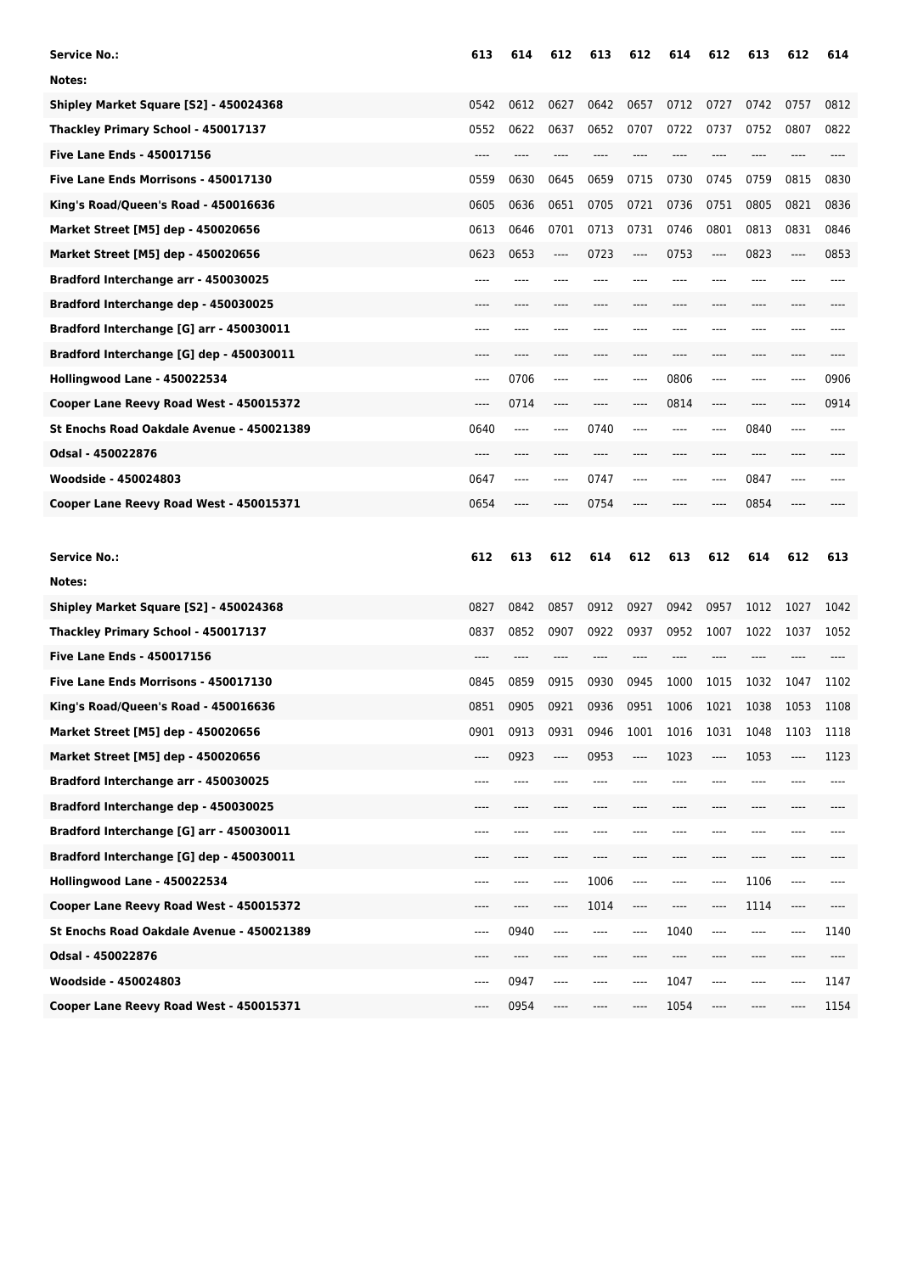| <b>Service No.:</b>                       | 613  | 614  | 612     | 613  | 612  | 614  | 612     | 613  | 612  | 614   |
|-------------------------------------------|------|------|---------|------|------|------|---------|------|------|-------|
| Notes:                                    |      |      |         |      |      |      |         |      |      |       |
| Shipley Market Square [S2] - 450024368    | 0542 | 0612 | 0627    | 0642 | 0657 | 0712 | 0727    | 0742 | 0757 | 0812  |
| Thackley Primary School - 450017137       | 0552 | 0622 | 0637    | 0652 | 0707 | 0722 | 0737    | 0752 | 0807 | 0822  |
| <b>Five Lane Ends - 450017156</b>         | ---- | ---- | ----    | ---- |      | ---- | ----    | ---- | ---- | $---$ |
| Five Lane Ends Morrisons - 450017130      | 0559 | 0630 | 0645    | 0659 | 0715 | 0730 | 0745    | 0759 | 0815 | 0830  |
| King's Road/Queen's Road - 450016636      | 0605 | 0636 | 0651    | 0705 | 0721 | 0736 | 0751    | 0805 | 0821 | 0836  |
| Market Street [M5] dep - 450020656        | 0613 | 0646 | 0701    | 0713 | 0731 | 0746 | 0801    | 0813 | 0831 | 0846  |
| Market Street [M5] dep - 450020656        | 0623 | 0653 | $-----$ | 0723 | ---- | 0753 | ----    | 0823 | ---- | 0853  |
| Bradford Interchange arr - 450030025      | ---- |      |         |      |      |      |         |      |      |       |
| Bradford Interchange dep - 450030025      |      |      |         |      |      |      |         |      |      |       |
| Bradford Interchange [G] arr - 450030011  | ---- |      |         |      |      |      |         |      |      |       |
| Bradford Interchange [G] dep - 450030011  | ---- | ---- |         | ---- |      | ---- | ----    | ---- | ---- |       |
| Hollingwood Lane - 450022534              | ---- | 0706 | ----    | ---- | ---- | 0806 | ----    | ---- | ---- | 0906  |
| Cooper Lane Reevy Road West - 450015372   | ---- | 0714 | ----    |      |      | 0814 | ----    |      |      | 0914  |
| St Enochs Road Oakdale Avenue - 450021389 | 0640 | ---- | ----    | 0740 | ---- | ---- | ----    | 0840 | ---- |       |
| Odsal - 450022876                         | ---- | ---- | ----    | ---- |      | ---- | ----    | ---- | ---- |       |
| Woodside - 450024803                      | 0647 | ---- |         | 0747 |      |      | ----    | 0847 |      |       |
| Cooper Lane Reevy Road West - 450015371   | 0654 |      |         | 0754 |      |      |         | 0854 |      |       |
|                                           |      |      |         |      |      |      |         |      |      |       |
|                                           |      |      |         |      |      |      |         |      |      |       |
| <b>Service No.:</b>                       | 612  | 613  | 612     | 614  | 612  | 613  | 612     | 614  | 612  | 613   |
| Notes:                                    |      |      |         |      |      |      |         |      |      |       |
| Shipley Market Square [S2] - 450024368    | 0827 | 0842 | 0857    | 0912 | 0927 | 0942 | 0957    | 1012 | 1027 | 1042  |
| Thackley Primary School - 450017137       | 0837 | 0852 | 0907    | 0922 | 0937 | 0952 | 1007    | 1022 | 1037 | 1052  |
| <b>Five Lane Ends - 450017156</b>         |      |      |         |      |      |      |         |      |      |       |
| Five Lane Ends Morrisons - 450017130      | 0845 | 0859 | 0915    | 0930 | 0945 | 1000 | 1015    | 1032 | 1047 | 1102  |
| King's Road/Queen's Road - 450016636      | 0851 | 0905 | 0921    | 0936 | 0951 | 1006 | 1021    | 1038 | 1053 | 1108  |
| Market Street [M5] dep - 450020656        | 0901 | 0913 | 0931    | 0946 | 1001 | 1016 | 1031    | 1048 | 1103 | 1118  |
| Market Street [M5] dep - 450020656        | ---- | 0923 | ----    | 0953 | ---- | 1023 | ----    | 1053 | ---- | 1123  |
| Bradford Interchange arr - 450030025      | ---- | ---- | ----    | ---- | ---- | ---- | ----    | ---- |      | ----  |
| Bradford Interchange dep - 450030025      | ---- | ---- | ----    | ---- |      | ---- | ----    | ---- | ---- |       |
| Bradford Interchange [G] arr - 450030011  | ---- | ---- | ----    |      |      |      | ----    | ---- | ---- |       |
| Bradford Interchange [G] dep - 450030011  | ---- | ---- |         | ---- |      |      | ----    | ---- | ---- |       |
| Hollingwood Lane - 450022534              | ---- | ---- | ----    | 1006 | ---- | ---- | $-----$ | 1106 | ---- | ----  |
| Cooper Lane Reevy Road West - 450015372   | ---- | ---- | ----    | 1014 | ---- | ---- | ----    | 1114 | ---- | ----  |
| St Enochs Road Oakdale Avenue - 450021389 | ---- | 0940 | ----    | ---- | ---- | 1040 | $-----$ | ---- | ---- | 1140  |
| Odsal - 450022876                         | ---- | ---- | ----    | ---- | ---- | ---- | ----    | ---- | ---- | ----  |
| Woodside - 450024803                      | ---- | 0947 | ----    | ---- | ---- | 1047 | $-----$ | ---- | ---- | 1147  |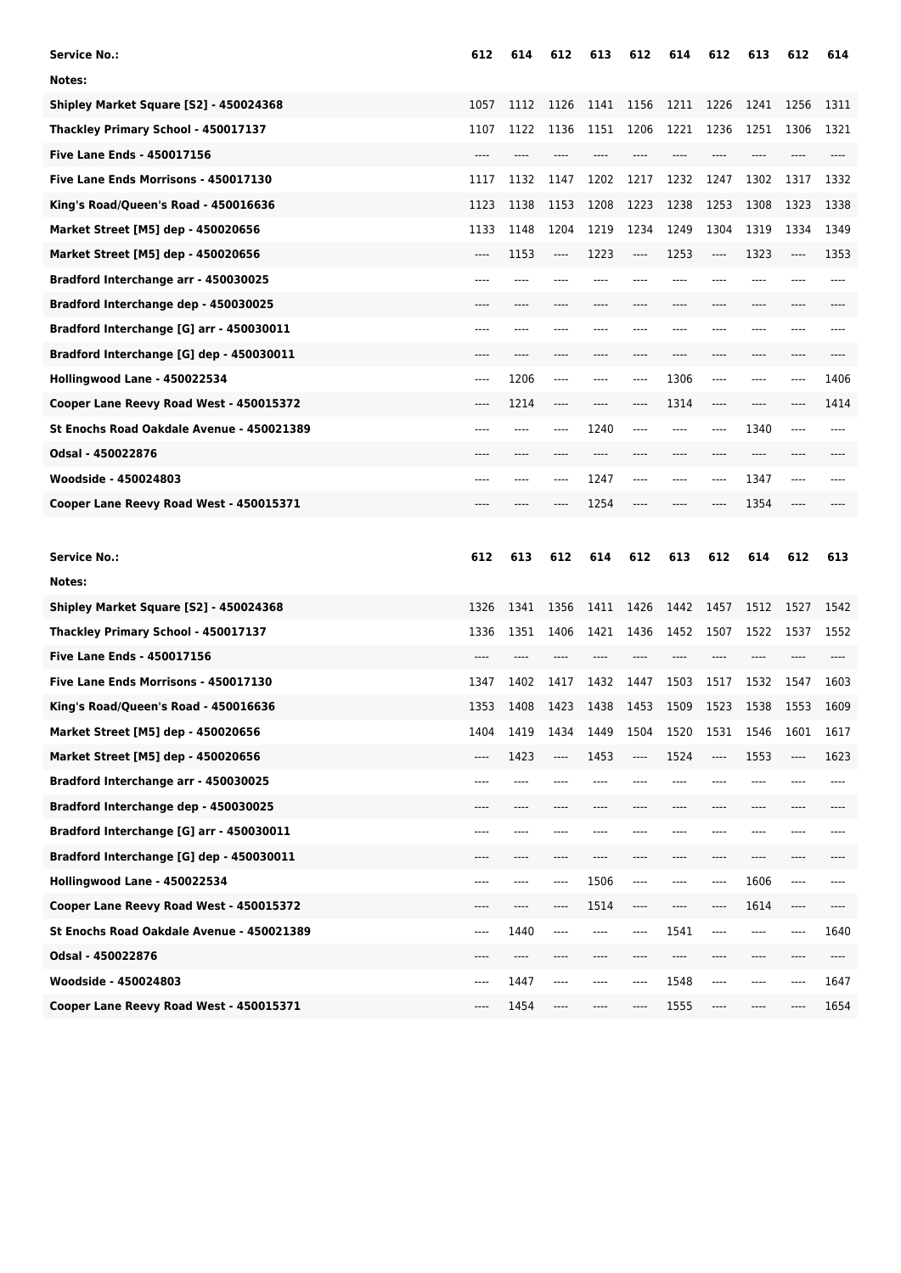| <b>Service No.:</b>                       | 612  | 614  | 612     | 613  | 612  | 614   | 612     | 613  | 612  | 614   |
|-------------------------------------------|------|------|---------|------|------|-------|---------|------|------|-------|
| Notes:                                    |      |      |         |      |      |       |         |      |      |       |
| Shipley Market Square [S2] - 450024368    | 1057 | 1112 | 1126    | 1141 | 1156 | 1211  | 1226    | 1241 | 1256 | 1311  |
| Thackley Primary School - 450017137       | 1107 | 1122 | 1136    | 1151 | 1206 | 1221  | 1236    | 1251 | 1306 | 1321  |
| <b>Five Lane Ends - 450017156</b>         | ---- |      | ----    | ---- |      | ----  | ----    | ---- | ---- | $---$ |
| Five Lane Ends Morrisons - 450017130      | 1117 | 1132 | 1147    | 1202 | 1217 | 1232  | 1247    | 1302 | 1317 | 1332  |
| King's Road/Queen's Road - 450016636      | 1123 | 1138 | 1153    | 1208 | 1223 | 1238  | 1253    | 1308 | 1323 | 1338  |
| Market Street [M5] dep - 450020656        | 1133 | 1148 | 1204    | 1219 | 1234 | 1249  | 1304    | 1319 | 1334 | 1349  |
| Market Street [M5] dep - 450020656        | ---- | 1153 | $-----$ | 1223 | ---- | 1253  | ----    | 1323 | ---- | 1353  |
| Bradford Interchange arr - 450030025      | ---- |      |         |      |      |       |         |      |      |       |
| Bradford Interchange dep - 450030025      |      |      |         |      |      |       |         |      |      |       |
| Bradford Interchange [G] arr - 450030011  | ---- |      |         |      |      |       |         |      |      |       |
| Bradford Interchange [G] dep - 450030011  | ---- | ---- | ----    | ---- | ---- | $---$ | ----    | ---- | ---- |       |
| Hollingwood Lane - 450022534              | ---- | 1206 | ----    | ---- | ---- | 1306  | ----    | ---- | ---- | 1406  |
| Cooper Lane Reevy Road West - 450015372   | ---- | 1214 | ----    |      |      | 1314  | ----    |      |      | 1414  |
| St Enochs Road Oakdale Avenue - 450021389 | ---- | ---- | ----    | 1240 | ---- | ----  | ----    | 1340 | ---- | ----  |
| Odsal - 450022876                         | ---- | ---- |         | ---- |      | ----  | ----    | ---- | ---- |       |
| Woodside - 450024803                      | ---- |      |         | 1247 |      |       | ----    | 1347 |      |       |
| Cooper Lane Reevy Road West - 450015371   |      |      |         | 1254 |      |       |         | 1354 |      |       |
|                                           |      |      |         |      |      |       |         |      |      |       |
|                                           |      |      |         |      |      |       |         |      |      |       |
| <b>Service No.:</b>                       | 612  | 613  | 612     | 614  | 612  | 613   | 612     | 614  | 612  | 613   |
| Notes:                                    |      |      |         |      |      |       |         |      |      |       |
| Shipley Market Square [S2] - 450024368    | 1326 | 1341 | 1356    | 1411 | 1426 | 1442  | 1457    | 1512 | 1527 | 1542  |
| Thackley Primary School - 450017137       | 1336 | 1351 | 1406    | 1421 | 1436 | 1452  | 1507    | 1522 | 1537 | 1552  |
| <b>Five Lane Ends - 450017156</b>         |      |      |         |      |      |       |         |      |      |       |
| Five Lane Ends Morrisons - 450017130      | 1347 | 1402 | 1417    | 1432 | 1447 | 1503  | 1517    | 1532 | 1547 | 1603  |
| King's Road/Queen's Road - 450016636      | 1353 | 1408 | 1423    | 1438 | 1453 | 1509  | 1523    | 1538 | 1553 | 1609  |
| Market Street [M5] dep - 450020656        | 1404 | 1419 | 1434    | 1449 | 1504 | 1520  | 1531    | 1546 | 1601 | 1617  |
| Market Street [M5] dep - 450020656        | ---- | 1423 | ----    | 1453 | ---- | 1524  | ----    | 1553 | ---- | 1623  |
| Bradford Interchange arr - 450030025      | ---- | ---- | ----    | ---- |      | ----  | ----    | ---- |      | ----  |
| Bradford Interchange dep - 450030025      | ---- | ---- | ----    | ---- |      | ----  | ----    | ---- | ---- |       |
| Bradford Interchange [G] arr - 450030011  | ---- | ---- | ----    |      |      |       | ----    | ---- | ---- |       |
| Bradford Interchange [G] dep - 450030011  | ---- | ---- |         | ---- |      |       | ----    | ---- | ---- |       |
| Hollingwood Lane - 450022534              | ---- | ---- | ----    | 1506 | ---- | ----  | $-----$ | 1606 | ---- | ----  |
| Cooper Lane Reevy Road West - 450015372   | ---- | ---- |         | 1514 | ---- | $---$ | ----    | 1614 | ---- | ----  |
| St Enochs Road Oakdale Avenue - 450021389 | ---- | 1440 | ----    | ---- | ---- | 1541  | ----    | ---- | ---- | 1640  |
| Odsal - 450022876                         | ---- | ---- | ----    | ---- | ---- | ----  | ----    | ---- | ---- | ----  |
| Woodside - 450024803                      | ---- | 1447 | ----    | ---- | ---- | 1548  | ----    | ---- | ---- | 1647  |